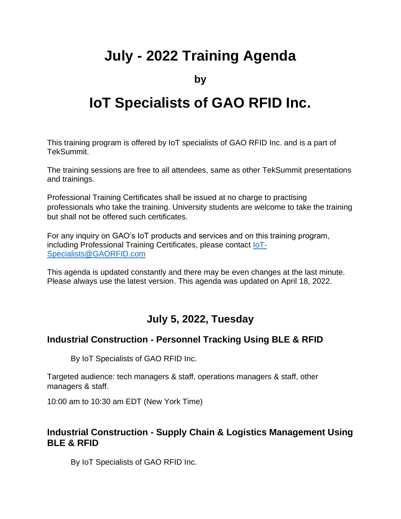# **July - 2022 Training Agenda**

**by**

# **IoT Specialists of GAO RFID Inc.**

This training program is offered by IoT specialists of GAO RFID Inc. and is a part of TekSummit.

The training sessions are free to all attendees, same as other TekSummit presentations and trainings.

Professional Training Certificates shall be issued at no charge to practising professionals who take the training. University students are welcome to take the training but shall not be offered such certificates.

For any inquiry on GAO's IoT products and services and on this training program, including Professional Training Certificates, please contact [IoT-](mailto:IoT-Specialists@GAORFID.com)[Specialists@GAORFID.com](mailto:IoT-Specialists@GAORFID.com)

This agenda is updated constantly and there may be even changes at the last minute. Please always use the latest version. This agenda was updated on April 18, 2022.

# **July 5, 2022, Tuesday**

#### **Industrial Construction - Personnel Tracking Using BLE & RFID**

By IoT Specialists of GAO RFID Inc.

Targeted audience: tech managers & staff, operations managers & staff, other managers & staff.

10:00 am to 10:30 am EDT (New York Time)

#### **Industrial Construction - Supply Chain & Logistics Management Using BLE & RFID**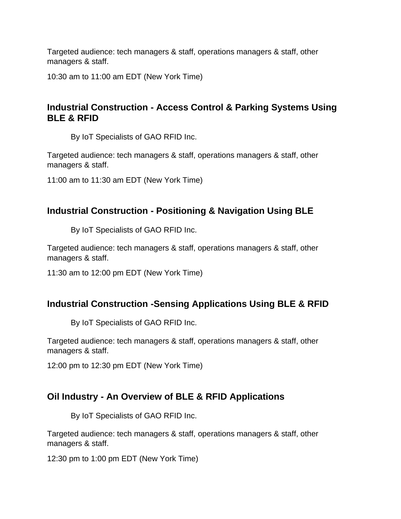10:30 am to 11:00 am EDT (New York Time)

# **Industrial Construction - Access Control & Parking Systems Using BLE & RFID**

By IoT Specialists of GAO RFID Inc.

Targeted audience: tech managers & staff, operations managers & staff, other managers & staff.

11:00 am to 11:30 am EDT (New York Time)

#### **Industrial Construction - Positioning & Navigation Using BLE**

By IoT Specialists of GAO RFID Inc.

Targeted audience: tech managers & staff, operations managers & staff, other managers & staff.

11:30 am to 12:00 pm EDT (New York Time)

#### **Industrial Construction -Sensing Applications Using BLE & RFID**

By IoT Specialists of GAO RFID Inc.

Targeted audience: tech managers & staff, operations managers & staff, other managers & staff.

12:00 pm to 12:30 pm EDT (New York Time)

#### **Oil Industry - An Overview of BLE & RFID Applications**

By IoT Specialists of GAO RFID Inc.

Targeted audience: tech managers & staff, operations managers & staff, other managers & staff.

12:30 pm to 1:00 pm EDT (New York Time)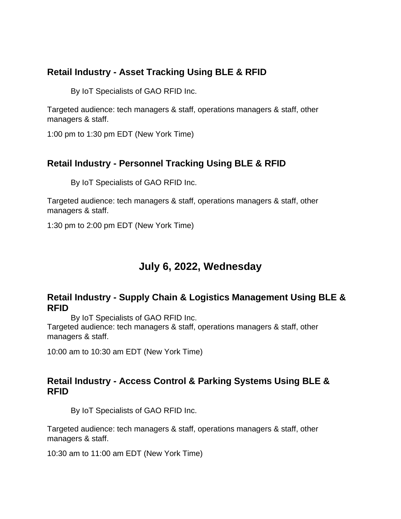#### **Retail Industry - Asset Tracking Using BLE & RFID**

By IoT Specialists of GAO RFID Inc.

Targeted audience: tech managers & staff, operations managers & staff, other managers & staff.

1:00 pm to 1:30 pm EDT (New York Time)

# **Retail Industry - Personnel Tracking Using BLE & RFID**

By IoT Specialists of GAO RFID Inc.

Targeted audience: tech managers & staff, operations managers & staff, other managers & staff.

1:30 pm to 2:00 pm EDT (New York Time)

# **July 6, 2022, Wednesday**

#### **Retail Industry - Supply Chain & Logistics Management Using BLE & RFID**

By IoT Specialists of GAO RFID Inc.

Targeted audience: tech managers & staff, operations managers & staff, other managers & staff.

10:00 am to 10:30 am EDT (New York Time)

#### **Retail Industry - Access Control & Parking Systems Using BLE & RFID**

By IoT Specialists of GAO RFID Inc.

Targeted audience: tech managers & staff, operations managers & staff, other managers & staff.

10:30 am to 11:00 am EDT (New York Time)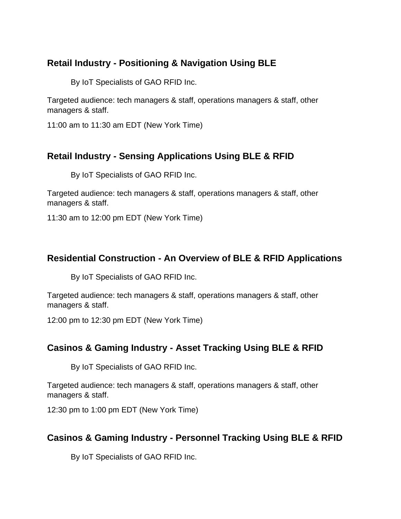# **Retail Industry - Positioning & Navigation Using BLE**

By IoT Specialists of GAO RFID Inc.

Targeted audience: tech managers & staff, operations managers & staff, other managers & staff.

11:00 am to 11:30 am EDT (New York Time)

# **Retail Industry - Sensing Applications Using BLE & RFID**

By IoT Specialists of GAO RFID Inc.

Targeted audience: tech managers & staff, operations managers & staff, other managers & staff.

11:30 am to 12:00 pm EDT (New York Time)

#### **Residential Construction - An Overview of BLE & RFID Applications**

By IoT Specialists of GAO RFID Inc.

Targeted audience: tech managers & staff, operations managers & staff, other managers & staff.

12:00 pm to 12:30 pm EDT (New York Time)

#### **Casinos & Gaming Industry - Asset Tracking Using BLE & RFID**

By IoT Specialists of GAO RFID Inc.

Targeted audience: tech managers & staff, operations managers & staff, other managers & staff.

12:30 pm to 1:00 pm EDT (New York Time)

#### **Casinos & Gaming Industry - Personnel Tracking Using BLE & RFID**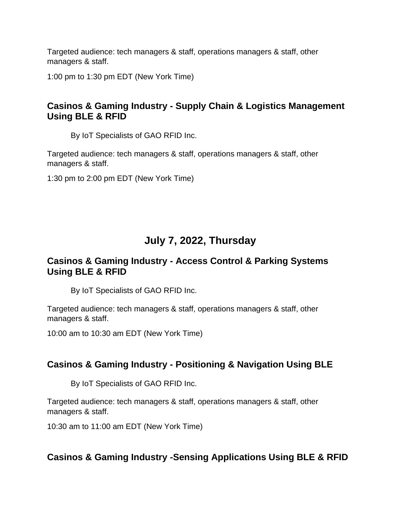1:00 pm to 1:30 pm EDT (New York Time)

# **Casinos & Gaming Industry - Supply Chain & Logistics Management Using BLE & RFID**

By IoT Specialists of GAO RFID Inc.

Targeted audience: tech managers & staff, operations managers & staff, other managers & staff.

1:30 pm to 2:00 pm EDT (New York Time)

# **July 7, 2022, Thursday**

#### **Casinos & Gaming Industry - Access Control & Parking Systems Using BLE & RFID**

By IoT Specialists of GAO RFID Inc.

Targeted audience: tech managers & staff, operations managers & staff, other managers & staff.

10:00 am to 10:30 am EDT (New York Time)

# **Casinos & Gaming Industry - Positioning & Navigation Using BLE**

By IoT Specialists of GAO RFID Inc.

Targeted audience: tech managers & staff, operations managers & staff, other managers & staff.

10:30 am to 11:00 am EDT (New York Time)

# **Casinos & Gaming Industry -Sensing Applications Using BLE & RFID**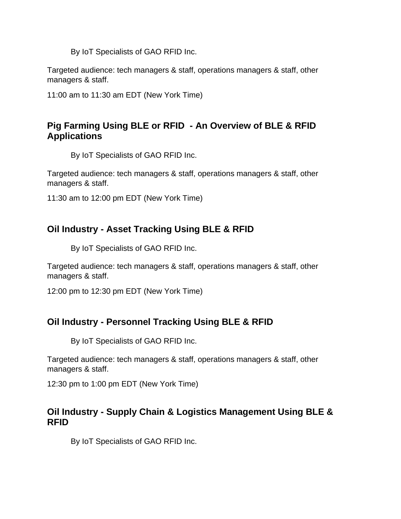By IoT Specialists of GAO RFID Inc.

Targeted audience: tech managers & staff, operations managers & staff, other managers & staff.

11:00 am to 11:30 am EDT (New York Time)

# **Pig Farming Using BLE or RFID - An Overview of BLE & RFID Applications**

By IoT Specialists of GAO RFID Inc.

Targeted audience: tech managers & staff, operations managers & staff, other managers & staff.

11:30 am to 12:00 pm EDT (New York Time)

# **Oil Industry - Asset Tracking Using BLE & RFID**

By IoT Specialists of GAO RFID Inc.

Targeted audience: tech managers & staff, operations managers & staff, other managers & staff.

12:00 pm to 12:30 pm EDT (New York Time)

#### **Oil Industry - Personnel Tracking Using BLE & RFID**

By IoT Specialists of GAO RFID Inc.

Targeted audience: tech managers & staff, operations managers & staff, other managers & staff.

12:30 pm to 1:00 pm EDT (New York Time)

#### **Oil Industry - Supply Chain & Logistics Management Using BLE & RFID**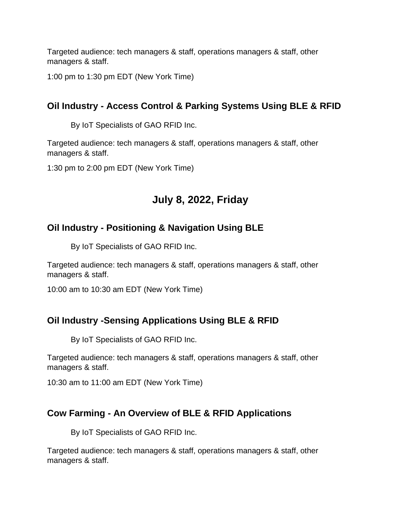1:00 pm to 1:30 pm EDT (New York Time)

# **Oil Industry - Access Control & Parking Systems Using BLE & RFID**

By IoT Specialists of GAO RFID Inc.

Targeted audience: tech managers & staff, operations managers & staff, other managers & staff.

1:30 pm to 2:00 pm EDT (New York Time)

# **July 8, 2022, Friday**

# **Oil Industry - Positioning & Navigation Using BLE**

By IoT Specialists of GAO RFID Inc.

Targeted audience: tech managers & staff, operations managers & staff, other managers & staff.

10:00 am to 10:30 am EDT (New York Time)

#### **Oil Industry -Sensing Applications Using BLE & RFID**

By IoT Specialists of GAO RFID Inc.

Targeted audience: tech managers & staff, operations managers & staff, other managers & staff.

10:30 am to 11:00 am EDT (New York Time)

#### **Cow Farming - An Overview of BLE & RFID Applications**

By IoT Specialists of GAO RFID Inc.

Targeted audience: tech managers & staff, operations managers & staff, other managers & staff.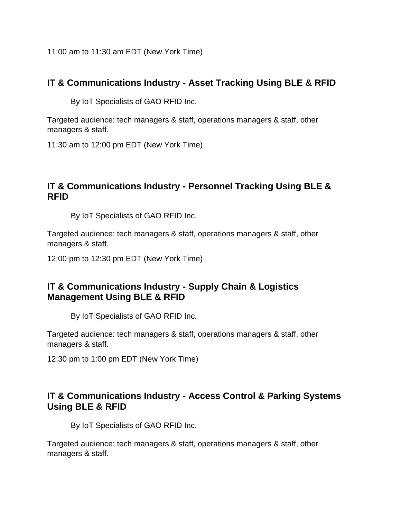11:00 am to 11:30 am EDT (New York Time)

#### **IT & Communications Industry - Asset Tracking Using BLE & RFID**

By IoT Specialists of GAO RFID Inc.

Targeted audience: tech managers & staff, operations managers & staff, other managers & staff.

11:30 am to 12:00 pm EDT (New York Time)

### **IT & Communications Industry - Personnel Tracking Using BLE & RFID**

By IoT Specialists of GAO RFID Inc.

Targeted audience: tech managers & staff, operations managers & staff, other managers & staff.

12:00 pm to 12:30 pm EDT (New York Time)

#### **IT & Communications Industry - Supply Chain & Logistics Management Using BLE & RFID**

By IoT Specialists of GAO RFID Inc.

Targeted audience: tech managers & staff, operations managers & staff, other managers & staff.

12:30 pm to 1:00 pm EDT (New York Time)

#### **IT & Communications Industry - Access Control & Parking Systems Using BLE & RFID**

By IoT Specialists of GAO RFID Inc.

Targeted audience: tech managers & staff, operations managers & staff, other managers & staff.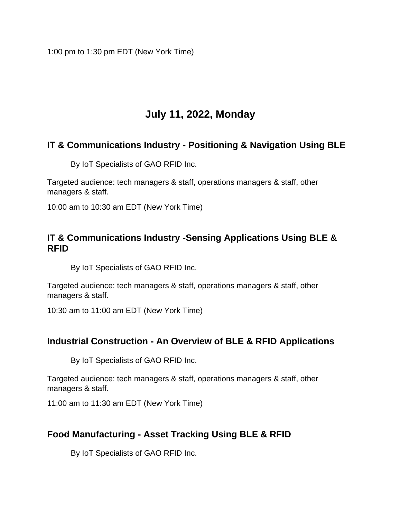1:00 pm to 1:30 pm EDT (New York Time)

# **July 11, 2022, Monday**

# **IT & Communications Industry - Positioning & Navigation Using BLE**

By IoT Specialists of GAO RFID Inc.

Targeted audience: tech managers & staff, operations managers & staff, other managers & staff.

10:00 am to 10:30 am EDT (New York Time)

#### **IT & Communications Industry -Sensing Applications Using BLE & RFID**

By IoT Specialists of GAO RFID Inc.

Targeted audience: tech managers & staff, operations managers & staff, other managers & staff.

10:30 am to 11:00 am EDT (New York Time)

#### **Industrial Construction - An Overview of BLE & RFID Applications**

By IoT Specialists of GAO RFID Inc.

Targeted audience: tech managers & staff, operations managers & staff, other managers & staff.

11:00 am to 11:30 am EDT (New York Time)

#### **Food Manufacturing - Asset Tracking Using BLE & RFID**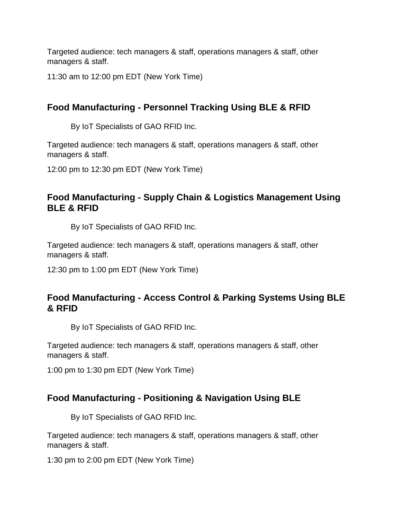11:30 am to 12:00 pm EDT (New York Time)

# **Food Manufacturing - Personnel Tracking Using BLE & RFID**

By IoT Specialists of GAO RFID Inc.

Targeted audience: tech managers & staff, operations managers & staff, other managers & staff.

12:00 pm to 12:30 pm EDT (New York Time)

#### **Food Manufacturing - Supply Chain & Logistics Management Using BLE & RFID**

By IoT Specialists of GAO RFID Inc.

Targeted audience: tech managers & staff, operations managers & staff, other managers & staff.

12:30 pm to 1:00 pm EDT (New York Time)

#### **Food Manufacturing - Access Control & Parking Systems Using BLE & RFID**

By IoT Specialists of GAO RFID Inc.

Targeted audience: tech managers & staff, operations managers & staff, other managers & staff.

1:00 pm to 1:30 pm EDT (New York Time)

#### **Food Manufacturing - Positioning & Navigation Using BLE**

By IoT Specialists of GAO RFID Inc.

Targeted audience: tech managers & staff, operations managers & staff, other managers & staff.

1:30 pm to 2:00 pm EDT (New York Time)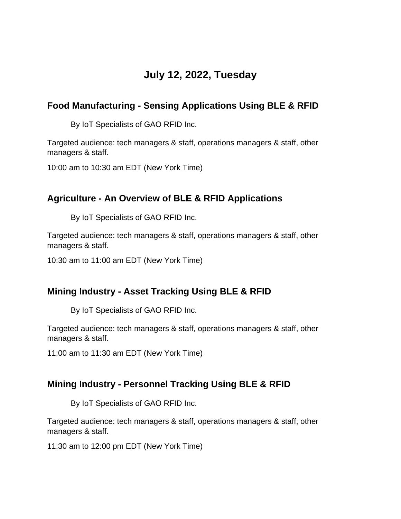# **July 12, 2022, Tuesday**

# **Food Manufacturing - Sensing Applications Using BLE & RFID**

By IoT Specialists of GAO RFID Inc.

Targeted audience: tech managers & staff, operations managers & staff, other managers & staff.

10:00 am to 10:30 am EDT (New York Time)

#### **Agriculture - An Overview of BLE & RFID Applications**

By IoT Specialists of GAO RFID Inc.

Targeted audience: tech managers & staff, operations managers & staff, other managers & staff.

10:30 am to 11:00 am EDT (New York Time)

#### **Mining Industry - Asset Tracking Using BLE & RFID**

By IoT Specialists of GAO RFID Inc.

Targeted audience: tech managers & staff, operations managers & staff, other managers & staff.

11:00 am to 11:30 am EDT (New York Time)

#### **Mining Industry - Personnel Tracking Using BLE & RFID**

By IoT Specialists of GAO RFID Inc.

Targeted audience: tech managers & staff, operations managers & staff, other managers & staff.

11:30 am to 12:00 pm EDT (New York Time)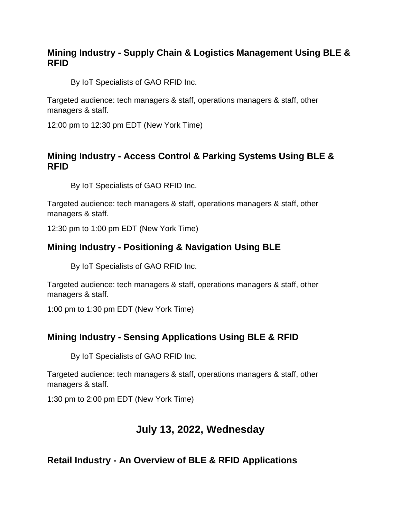#### **Mining Industry - Supply Chain & Logistics Management Using BLE & RFID**

By IoT Specialists of GAO RFID Inc.

Targeted audience: tech managers & staff, operations managers & staff, other managers & staff.

12:00 pm to 12:30 pm EDT (New York Time)

#### **Mining Industry - Access Control & Parking Systems Using BLE & RFID**

By IoT Specialists of GAO RFID Inc.

Targeted audience: tech managers & staff, operations managers & staff, other managers & staff.

12:30 pm to 1:00 pm EDT (New York Time)

# **Mining Industry - Positioning & Navigation Using BLE**

By IoT Specialists of GAO RFID Inc.

Targeted audience: tech managers & staff, operations managers & staff, other managers & staff.

1:00 pm to 1:30 pm EDT (New York Time)

#### **Mining Industry - Sensing Applications Using BLE & RFID**

By IoT Specialists of GAO RFID Inc.

Targeted audience: tech managers & staff, operations managers & staff, other managers & staff.

1:30 pm to 2:00 pm EDT (New York Time)

# **July 13, 2022, Wednesday**

#### **Retail Industry - An Overview of BLE & RFID Applications**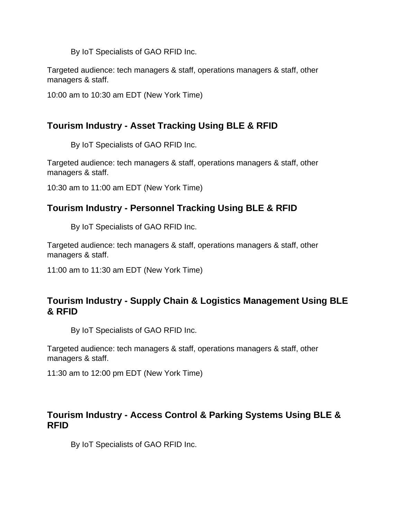By IoT Specialists of GAO RFID Inc.

Targeted audience: tech managers & staff, operations managers & staff, other managers & staff.

10:00 am to 10:30 am EDT (New York Time)

# **Tourism Industry - Asset Tracking Using BLE & RFID**

By IoT Specialists of GAO RFID Inc.

Targeted audience: tech managers & staff, operations managers & staff, other managers & staff.

10:30 am to 11:00 am EDT (New York Time)

#### **Tourism Industry - Personnel Tracking Using BLE & RFID**

By IoT Specialists of GAO RFID Inc.

Targeted audience: tech managers & staff, operations managers & staff, other managers & staff.

11:00 am to 11:30 am EDT (New York Time)

#### **Tourism Industry - Supply Chain & Logistics Management Using BLE & RFID**

By IoT Specialists of GAO RFID Inc.

Targeted audience: tech managers & staff, operations managers & staff, other managers & staff.

11:30 am to 12:00 pm EDT (New York Time)

#### **Tourism Industry - Access Control & Parking Systems Using BLE & RFID**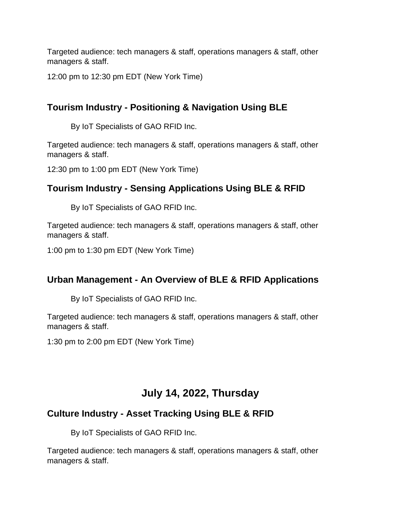12:00 pm to 12:30 pm EDT (New York Time)

# **Tourism Industry - Positioning & Navigation Using BLE**

By IoT Specialists of GAO RFID Inc.

Targeted audience: tech managers & staff, operations managers & staff, other managers & staff.

12:30 pm to 1:00 pm EDT (New York Time)

#### **Tourism Industry - Sensing Applications Using BLE & RFID**

By IoT Specialists of GAO RFID Inc.

Targeted audience: tech managers & staff, operations managers & staff, other managers & staff.

1:00 pm to 1:30 pm EDT (New York Time)

#### **Urban Management - An Overview of BLE & RFID Applications**

By IoT Specialists of GAO RFID Inc.

Targeted audience: tech managers & staff, operations managers & staff, other managers & staff.

1:30 pm to 2:00 pm EDT (New York Time)

# **July 14, 2022, Thursday**

# **Culture Industry - Asset Tracking Using BLE & RFID**

By IoT Specialists of GAO RFID Inc.

Targeted audience: tech managers & staff, operations managers & staff, other managers & staff.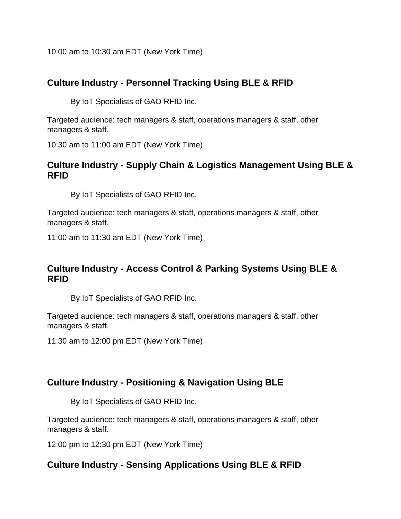10:00 am to 10:30 am EDT (New York Time)

### **Culture Industry - Personnel Tracking Using BLE & RFID**

By IoT Specialists of GAO RFID Inc.

Targeted audience: tech managers & staff, operations managers & staff, other managers & staff.

10:30 am to 11:00 am EDT (New York Time)

#### **Culture Industry - Supply Chain & Logistics Management Using BLE & RFID**

By IoT Specialists of GAO RFID Inc.

Targeted audience: tech managers & staff, operations managers & staff, other managers & staff.

11:00 am to 11:30 am EDT (New York Time)

#### **Culture Industry - Access Control & Parking Systems Using BLE & RFID**

By IoT Specialists of GAO RFID Inc.

Targeted audience: tech managers & staff, operations managers & staff, other managers & staff.

11:30 am to 12:00 pm EDT (New York Time)

#### **Culture Industry - Positioning & Navigation Using BLE**

By IoT Specialists of GAO RFID Inc.

Targeted audience: tech managers & staff, operations managers & staff, other managers & staff.

12:00 pm to 12:30 pm EDT (New York Time)

#### **Culture Industry - Sensing Applications Using BLE & RFID**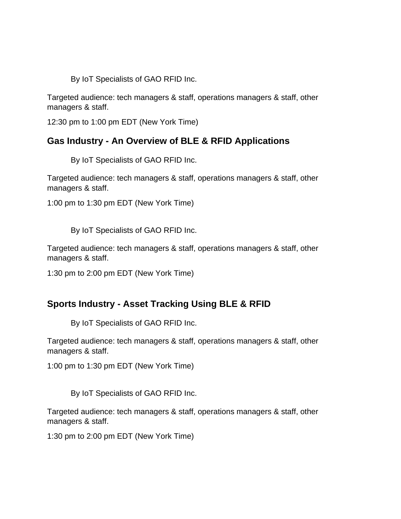By IoT Specialists of GAO RFID Inc.

Targeted audience: tech managers & staff, operations managers & staff, other managers & staff.

12:30 pm to 1:00 pm EDT (New York Time)

#### **Gas Industry - An Overview of BLE & RFID Applications**

By IoT Specialists of GAO RFID Inc.

Targeted audience: tech managers & staff, operations managers & staff, other managers & staff.

1:00 pm to 1:30 pm EDT (New York Time)

By IoT Specialists of GAO RFID Inc.

Targeted audience: tech managers & staff, operations managers & staff, other managers & staff.

1:30 pm to 2:00 pm EDT (New York Time)

#### **Sports Industry - Asset Tracking Using BLE & RFID**

By IoT Specialists of GAO RFID Inc.

Targeted audience: tech managers & staff, operations managers & staff, other managers & staff.

1:00 pm to 1:30 pm EDT (New York Time)

By IoT Specialists of GAO RFID Inc.

Targeted audience: tech managers & staff, operations managers & staff, other managers & staff.

1:30 pm to 2:00 pm EDT (New York Time)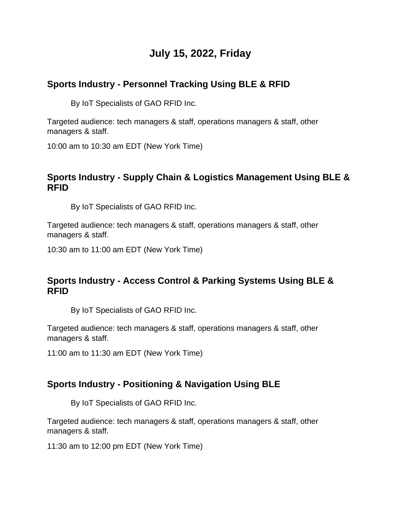# **July 15, 2022, Friday**

# **Sports Industry - Personnel Tracking Using BLE & RFID**

By IoT Specialists of GAO RFID Inc.

Targeted audience: tech managers & staff, operations managers & staff, other managers & staff.

10:00 am to 10:30 am EDT (New York Time)

### **Sports Industry - Supply Chain & Logistics Management Using BLE & RFID**

By IoT Specialists of GAO RFID Inc.

Targeted audience: tech managers & staff, operations managers & staff, other managers & staff.

10:30 am to 11:00 am EDT (New York Time)

#### **Sports Industry - Access Control & Parking Systems Using BLE & RFID**

By IoT Specialists of GAO RFID Inc.

Targeted audience: tech managers & staff, operations managers & staff, other managers & staff.

11:00 am to 11:30 am EDT (New York Time)

#### **Sports Industry - Positioning & Navigation Using BLE**

By IoT Specialists of GAO RFID Inc.

Targeted audience: tech managers & staff, operations managers & staff, other managers & staff.

11:30 am to 12:00 pm EDT (New York Time)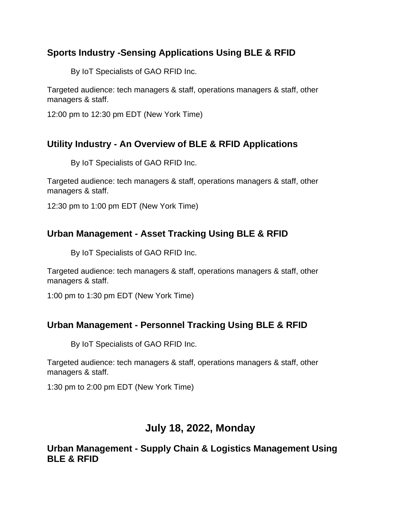# **Sports Industry -Sensing Applications Using BLE & RFID**

By IoT Specialists of GAO RFID Inc.

Targeted audience: tech managers & staff, operations managers & staff, other managers & staff.

12:00 pm to 12:30 pm EDT (New York Time)

# **Utility Industry - An Overview of BLE & RFID Applications**

By IoT Specialists of GAO RFID Inc.

Targeted audience: tech managers & staff, operations managers & staff, other managers & staff.

12:30 pm to 1:00 pm EDT (New York Time)

# **Urban Management - Asset Tracking Using BLE & RFID**

By IoT Specialists of GAO RFID Inc.

Targeted audience: tech managers & staff, operations managers & staff, other managers & staff.

1:00 pm to 1:30 pm EDT (New York Time)

#### **Urban Management - Personnel Tracking Using BLE & RFID**

By IoT Specialists of GAO RFID Inc.

Targeted audience: tech managers & staff, operations managers & staff, other managers & staff.

1:30 pm to 2:00 pm EDT (New York Time)

# **July 18, 2022, Monday**

**Urban Management - Supply Chain & Logistics Management Using BLE & RFID**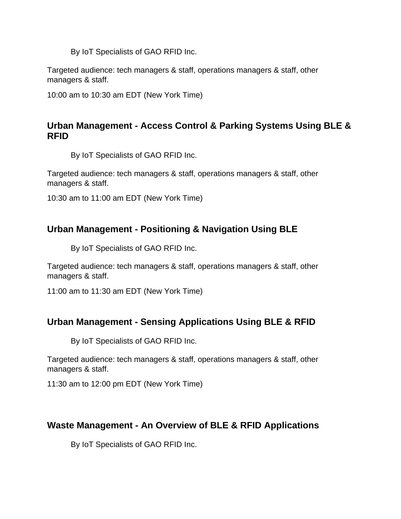By IoT Specialists of GAO RFID Inc.

Targeted audience: tech managers & staff, operations managers & staff, other managers & staff.

10:00 am to 10:30 am EDT (New York Time)

#### **Urban Management - Access Control & Parking Systems Using BLE & RFID**

By IoT Specialists of GAO RFID Inc.

Targeted audience: tech managers & staff, operations managers & staff, other managers & staff.

10:30 am to 11:00 am EDT (New York Time)

#### **Urban Management - Positioning & Navigation Using BLE**

By IoT Specialists of GAO RFID Inc.

Targeted audience: tech managers & staff, operations managers & staff, other managers & staff.

11:00 am to 11:30 am EDT (New York Time)

#### **Urban Management - Sensing Applications Using BLE & RFID**

By IoT Specialists of GAO RFID Inc.

Targeted audience: tech managers & staff, operations managers & staff, other managers & staff.

11:30 am to 12:00 pm EDT (New York Time)

#### **Waste Management - An Overview of BLE & RFID Applications**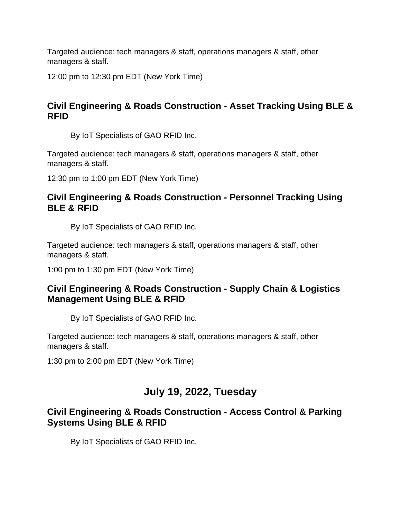12:00 pm to 12:30 pm EDT (New York Time)

# **Civil Engineering & Roads Construction - Asset Tracking Using BLE & RFID**

By IoT Specialists of GAO RFID Inc.

Targeted audience: tech managers & staff, operations managers & staff, other managers & staff.

12:30 pm to 1:00 pm EDT (New York Time)

### **Civil Engineering & Roads Construction - Personnel Tracking Using BLE & RFID**

By IoT Specialists of GAO RFID Inc.

Targeted audience: tech managers & staff, operations managers & staff, other managers & staff.

1:00 pm to 1:30 pm EDT (New York Time)

#### **Civil Engineering & Roads Construction - Supply Chain & Logistics Management Using BLE & RFID**

By IoT Specialists of GAO RFID Inc.

Targeted audience: tech managers & staff, operations managers & staff, other managers & staff.

1:30 pm to 2:00 pm EDT (New York Time)

# **July 19, 2022, Tuesday**

#### **Civil Engineering & Roads Construction - Access Control & Parking Systems Using BLE & RFID**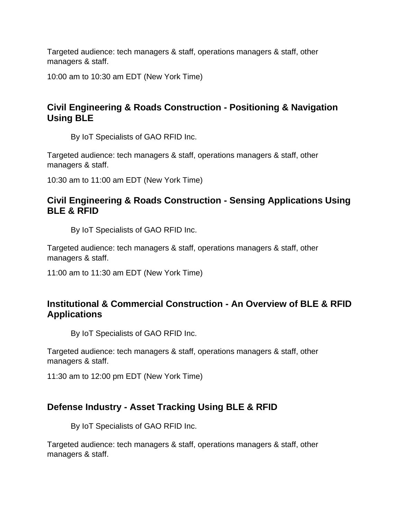10:00 am to 10:30 am EDT (New York Time)

# **Civil Engineering & Roads Construction - Positioning & Navigation Using BLE**

By IoT Specialists of GAO RFID Inc.

Targeted audience: tech managers & staff, operations managers & staff, other managers & staff.

10:30 am to 11:00 am EDT (New York Time)

#### **Civil Engineering & Roads Construction - Sensing Applications Using BLE & RFID**

By IoT Specialists of GAO RFID Inc.

Targeted audience: tech managers & staff, operations managers & staff, other managers & staff.

11:00 am to 11:30 am EDT (New York Time)

#### **Institutional & Commercial Construction - An Overview of BLE & RFID Applications**

By IoT Specialists of GAO RFID Inc.

Targeted audience: tech managers & staff, operations managers & staff, other managers & staff.

11:30 am to 12:00 pm EDT (New York Time)

#### **Defense Industry - Asset Tracking Using BLE & RFID**

By IoT Specialists of GAO RFID Inc.

Targeted audience: tech managers & staff, operations managers & staff, other managers & staff.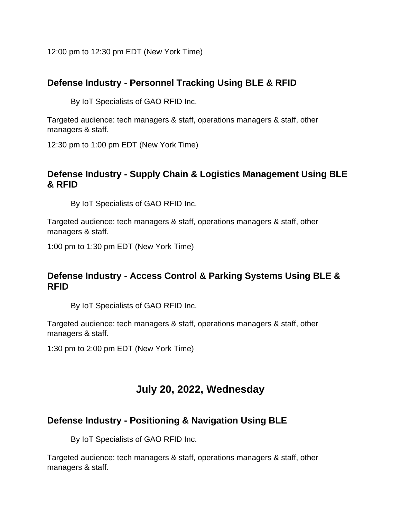12:00 pm to 12:30 pm EDT (New York Time)

#### **Defense Industry - Personnel Tracking Using BLE & RFID**

By IoT Specialists of GAO RFID Inc.

Targeted audience: tech managers & staff, operations managers & staff, other managers & staff.

12:30 pm to 1:00 pm EDT (New York Time)

#### **Defense Industry - Supply Chain & Logistics Management Using BLE & RFID**

By IoT Specialists of GAO RFID Inc.

Targeted audience: tech managers & staff, operations managers & staff, other managers & staff.

1:00 pm to 1:30 pm EDT (New York Time)

#### **Defense Industry - Access Control & Parking Systems Using BLE & RFID**

By IoT Specialists of GAO RFID Inc.

Targeted audience: tech managers & staff, operations managers & staff, other managers & staff.

1:30 pm to 2:00 pm EDT (New York Time)

# **July 20, 2022, Wednesday**

#### **Defense Industry - Positioning & Navigation Using BLE**

By IoT Specialists of GAO RFID Inc.

Targeted audience: tech managers & staff, operations managers & staff, other managers & staff.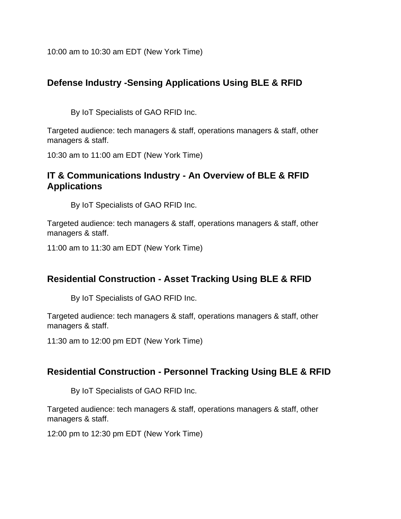10:00 am to 10:30 am EDT (New York Time)

# **Defense Industry -Sensing Applications Using BLE & RFID**

By IoT Specialists of GAO RFID Inc.

Targeted audience: tech managers & staff, operations managers & staff, other managers & staff.

10:30 am to 11:00 am EDT (New York Time)

#### **IT & Communications Industry - An Overview of BLE & RFID Applications**

By IoT Specialists of GAO RFID Inc.

Targeted audience: tech managers & staff, operations managers & staff, other managers & staff.

11:00 am to 11:30 am EDT (New York Time)

#### **Residential Construction - Asset Tracking Using BLE & RFID**

By IoT Specialists of GAO RFID Inc.

Targeted audience: tech managers & staff, operations managers & staff, other managers & staff.

11:30 am to 12:00 pm EDT (New York Time)

#### **Residential Construction - Personnel Tracking Using BLE & RFID**

By IoT Specialists of GAO RFID Inc.

Targeted audience: tech managers & staff, operations managers & staff, other managers & staff.

12:00 pm to 12:30 pm EDT (New York Time)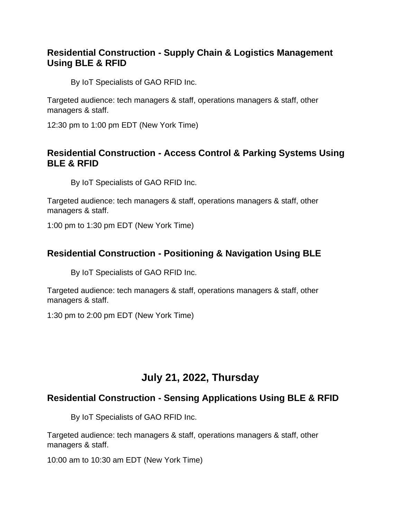#### **Residential Construction - Supply Chain & Logistics Management Using BLE & RFID**

By IoT Specialists of GAO RFID Inc.

Targeted audience: tech managers & staff, operations managers & staff, other managers & staff.

12:30 pm to 1:00 pm EDT (New York Time)

#### **Residential Construction - Access Control & Parking Systems Using BLE & RFID**

By IoT Specialists of GAO RFID Inc.

Targeted audience: tech managers & staff, operations managers & staff, other managers & staff.

1:00 pm to 1:30 pm EDT (New York Time)

#### **Residential Construction - Positioning & Navigation Using BLE**

By IoT Specialists of GAO RFID Inc.

Targeted audience: tech managers & staff, operations managers & staff, other managers & staff.

1:30 pm to 2:00 pm EDT (New York Time)

# **July 21, 2022, Thursday**

# **Residential Construction - Sensing Applications Using BLE & RFID**

By IoT Specialists of GAO RFID Inc.

Targeted audience: tech managers & staff, operations managers & staff, other managers & staff.

10:00 am to 10:30 am EDT (New York Time)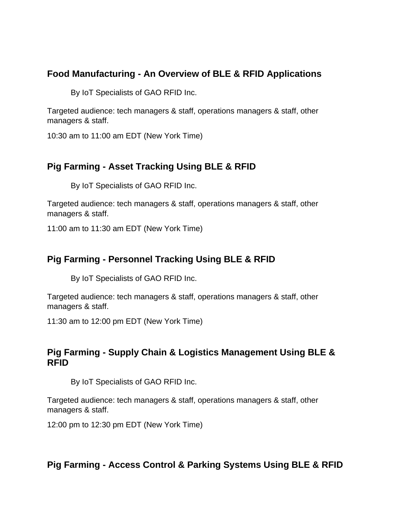### **Food Manufacturing - An Overview of BLE & RFID Applications**

By IoT Specialists of GAO RFID Inc.

Targeted audience: tech managers & staff, operations managers & staff, other managers & staff.

10:30 am to 11:00 am EDT (New York Time)

#### **Pig Farming - Asset Tracking Using BLE & RFID**

By IoT Specialists of GAO RFID Inc.

Targeted audience: tech managers & staff, operations managers & staff, other managers & staff.

11:00 am to 11:30 am EDT (New York Time)

#### **Pig Farming - Personnel Tracking Using BLE & RFID**

By IoT Specialists of GAO RFID Inc.

Targeted audience: tech managers & staff, operations managers & staff, other managers & staff.

11:30 am to 12:00 pm EDT (New York Time)

#### **Pig Farming - Supply Chain & Logistics Management Using BLE & RFID**

By IoT Specialists of GAO RFID Inc.

Targeted audience: tech managers & staff, operations managers & staff, other managers & staff.

12:00 pm to 12:30 pm EDT (New York Time)

#### **Pig Farming - Access Control & Parking Systems Using BLE & RFID**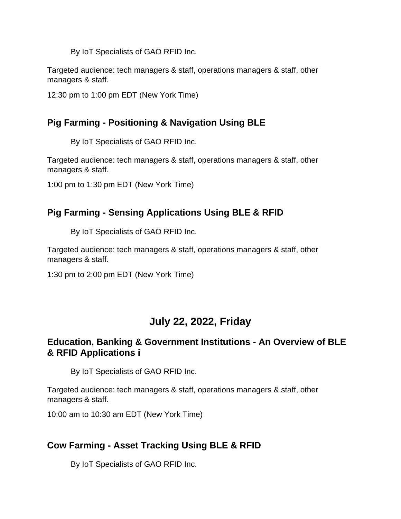By IoT Specialists of GAO RFID Inc.

Targeted audience: tech managers & staff, operations managers & staff, other managers & staff.

12:30 pm to 1:00 pm EDT (New York Time)

### **Pig Farming - Positioning & Navigation Using BLE**

By IoT Specialists of GAO RFID Inc.

Targeted audience: tech managers & staff, operations managers & staff, other managers & staff.

1:00 pm to 1:30 pm EDT (New York Time)

# **Pig Farming - Sensing Applications Using BLE & RFID**

By IoT Specialists of GAO RFID Inc.

Targeted audience: tech managers & staff, operations managers & staff, other managers & staff.

1:30 pm to 2:00 pm EDT (New York Time)

# **July 22, 2022, Friday**

#### **Education, Banking & Government Institutions - An Overview of BLE & RFID Applications i**

By IoT Specialists of GAO RFID Inc.

Targeted audience: tech managers & staff, operations managers & staff, other managers & staff.

10:00 am to 10:30 am EDT (New York Time)

# **Cow Farming - Asset Tracking Using BLE & RFID**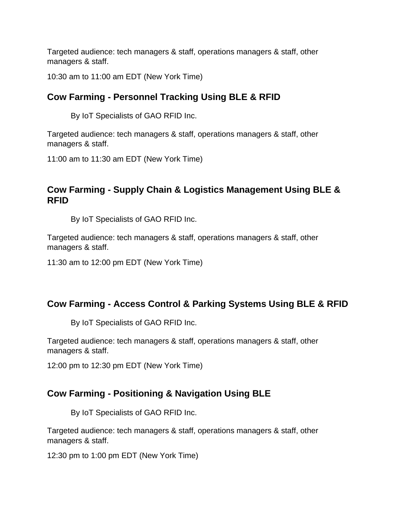10:30 am to 11:00 am EDT (New York Time)

# **Cow Farming - Personnel Tracking Using BLE & RFID**

By IoT Specialists of GAO RFID Inc.

Targeted audience: tech managers & staff, operations managers & staff, other managers & staff.

11:00 am to 11:30 am EDT (New York Time)

#### **Cow Farming - Supply Chain & Logistics Management Using BLE & RFID**

By IoT Specialists of GAO RFID Inc.

Targeted audience: tech managers & staff, operations managers & staff, other managers & staff.

11:30 am to 12:00 pm EDT (New York Time)

#### **Cow Farming - Access Control & Parking Systems Using BLE & RFID**

By IoT Specialists of GAO RFID Inc.

Targeted audience: tech managers & staff, operations managers & staff, other managers & staff.

12:00 pm to 12:30 pm EDT (New York Time)

#### **Cow Farming - Positioning & Navigation Using BLE**

By IoT Specialists of GAO RFID Inc.

Targeted audience: tech managers & staff, operations managers & staff, other managers & staff.

12:30 pm to 1:00 pm EDT (New York Time)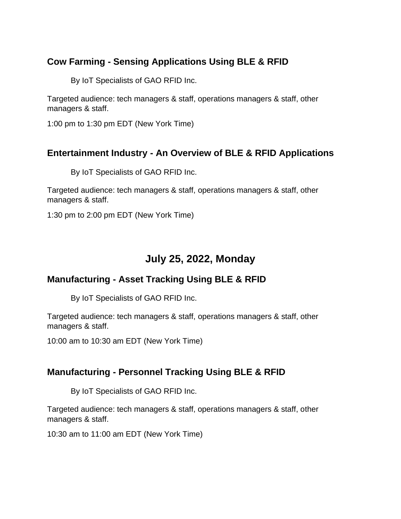# **Cow Farming - Sensing Applications Using BLE & RFID**

By IoT Specialists of GAO RFID Inc.

Targeted audience: tech managers & staff, operations managers & staff, other managers & staff.

1:00 pm to 1:30 pm EDT (New York Time)

#### **Entertainment Industry - An Overview of BLE & RFID Applications**

By IoT Specialists of GAO RFID Inc.

Targeted audience: tech managers & staff, operations managers & staff, other managers & staff.

1:30 pm to 2:00 pm EDT (New York Time)

# **July 25, 2022, Monday**

#### **Manufacturing - Asset Tracking Using BLE & RFID**

By IoT Specialists of GAO RFID Inc.

Targeted audience: tech managers & staff, operations managers & staff, other managers & staff.

10:00 am to 10:30 am EDT (New York Time)

#### **Manufacturing - Personnel Tracking Using BLE & RFID**

By IoT Specialists of GAO RFID Inc.

Targeted audience: tech managers & staff, operations managers & staff, other managers & staff.

10:30 am to 11:00 am EDT (New York Time)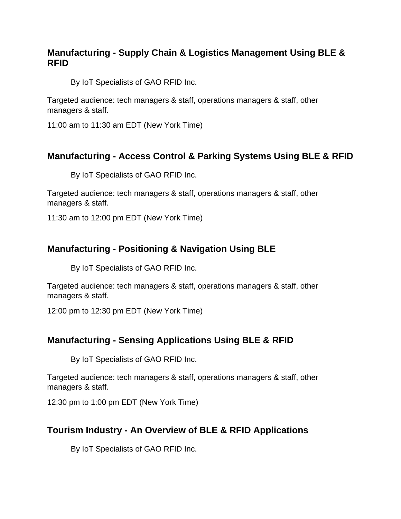#### **Manufacturing - Supply Chain & Logistics Management Using BLE & RFID**

By IoT Specialists of GAO RFID Inc.

Targeted audience: tech managers & staff, operations managers & staff, other managers & staff.

11:00 am to 11:30 am EDT (New York Time)

#### **Manufacturing - Access Control & Parking Systems Using BLE & RFID**

By IoT Specialists of GAO RFID Inc.

Targeted audience: tech managers & staff, operations managers & staff, other managers & staff.

11:30 am to 12:00 pm EDT (New York Time)

#### **Manufacturing - Positioning & Navigation Using BLE**

By IoT Specialists of GAO RFID Inc.

Targeted audience: tech managers & staff, operations managers & staff, other managers & staff.

12:00 pm to 12:30 pm EDT (New York Time)

#### **Manufacturing - Sensing Applications Using BLE & RFID**

By IoT Specialists of GAO RFID Inc.

Targeted audience: tech managers & staff, operations managers & staff, other managers & staff.

12:30 pm to 1:00 pm EDT (New York Time)

#### **Tourism Industry - An Overview of BLE & RFID Applications**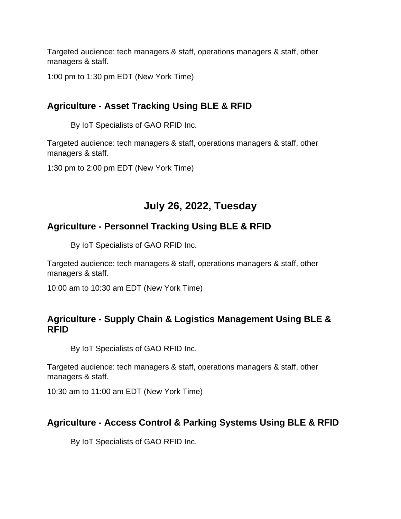1:00 pm to 1:30 pm EDT (New York Time)

# **Agriculture - Asset Tracking Using BLE & RFID**

By IoT Specialists of GAO RFID Inc.

Targeted audience: tech managers & staff, operations managers & staff, other managers & staff.

1:30 pm to 2:00 pm EDT (New York Time)

# **July 26, 2022, Tuesday**

# **Agriculture - Personnel Tracking Using BLE & RFID**

By IoT Specialists of GAO RFID Inc.

Targeted audience: tech managers & staff, operations managers & staff, other managers & staff.

10:00 am to 10:30 am EDT (New York Time)

#### **Agriculture - Supply Chain & Logistics Management Using BLE & RFID**

By IoT Specialists of GAO RFID Inc.

Targeted audience: tech managers & staff, operations managers & staff, other managers & staff.

10:30 am to 11:00 am EDT (New York Time)

#### **Agriculture - Access Control & Parking Systems Using BLE & RFID**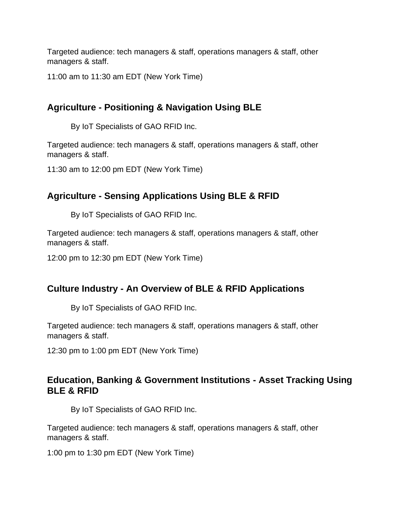11:00 am to 11:30 am EDT (New York Time)

# **Agriculture - Positioning & Navigation Using BLE**

By IoT Specialists of GAO RFID Inc.

Targeted audience: tech managers & staff, operations managers & staff, other managers & staff.

11:30 am to 12:00 pm EDT (New York Time)

#### **Agriculture - Sensing Applications Using BLE & RFID**

By IoT Specialists of GAO RFID Inc.

Targeted audience: tech managers & staff, operations managers & staff, other managers & staff.

12:00 pm to 12:30 pm EDT (New York Time)

#### **Culture Industry - An Overview of BLE & RFID Applications**

By IoT Specialists of GAO RFID Inc.

Targeted audience: tech managers & staff, operations managers & staff, other managers & staff.

12:30 pm to 1:00 pm EDT (New York Time)

#### **Education, Banking & Government Institutions - Asset Tracking Using BLE & RFID**

By IoT Specialists of GAO RFID Inc.

Targeted audience: tech managers & staff, operations managers & staff, other managers & staff.

1:00 pm to 1:30 pm EDT (New York Time)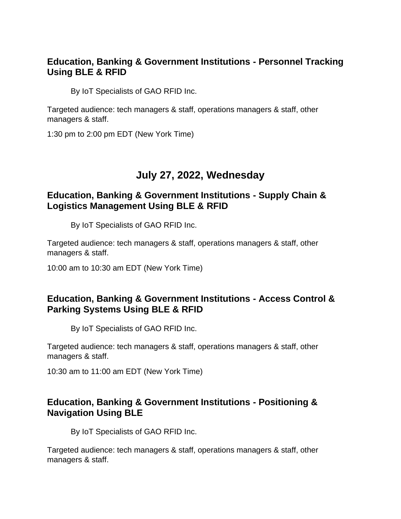#### **Education, Banking & Government Institutions - Personnel Tracking Using BLE & RFID**

By IoT Specialists of GAO RFID Inc.

Targeted audience: tech managers & staff, operations managers & staff, other managers & staff.

1:30 pm to 2:00 pm EDT (New York Time)

# **July 27, 2022, Wednesday**

#### **Education, Banking & Government Institutions - Supply Chain & Logistics Management Using BLE & RFID**

By IoT Specialists of GAO RFID Inc.

Targeted audience: tech managers & staff, operations managers & staff, other managers & staff.

10:00 am to 10:30 am EDT (New York Time)

#### **Education, Banking & Government Institutions - Access Control & Parking Systems Using BLE & RFID**

By IoT Specialists of GAO RFID Inc.

Targeted audience: tech managers & staff, operations managers & staff, other managers & staff.

10:30 am to 11:00 am EDT (New York Time)

#### **Education, Banking & Government Institutions - Positioning & Navigation Using BLE**

By IoT Specialists of GAO RFID Inc.

Targeted audience: tech managers & staff, operations managers & staff, other managers & staff.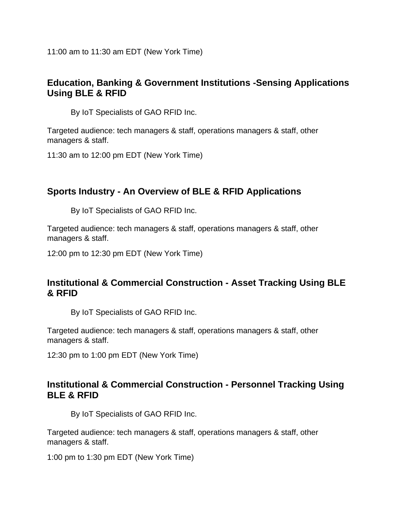11:00 am to 11:30 am EDT (New York Time)

#### **Education, Banking & Government Institutions -Sensing Applications Using BLE & RFID**

By IoT Specialists of GAO RFID Inc.

Targeted audience: tech managers & staff, operations managers & staff, other managers & staff.

11:30 am to 12:00 pm EDT (New York Time)

#### **Sports Industry - An Overview of BLE & RFID Applications**

By IoT Specialists of GAO RFID Inc.

Targeted audience: tech managers & staff, operations managers & staff, other managers & staff.

12:00 pm to 12:30 pm EDT (New York Time)

#### **Institutional & Commercial Construction - Asset Tracking Using BLE & RFID**

By IoT Specialists of GAO RFID Inc.

Targeted audience: tech managers & staff, operations managers & staff, other managers & staff.

12:30 pm to 1:00 pm EDT (New York Time)

#### **Institutional & Commercial Construction - Personnel Tracking Using BLE & RFID**

By IoT Specialists of GAO RFID Inc.

Targeted audience: tech managers & staff, operations managers & staff, other managers & staff.

1:00 pm to 1:30 pm EDT (New York Time)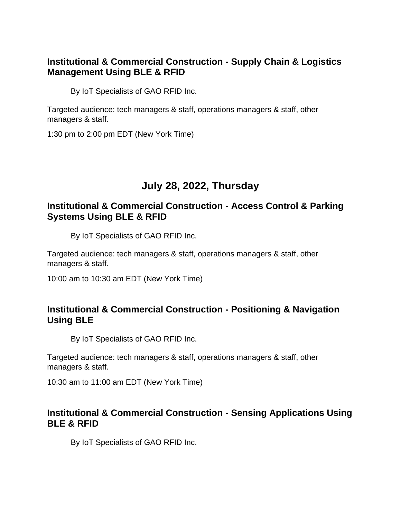#### **Institutional & Commercial Construction - Supply Chain & Logistics Management Using BLE & RFID**

By IoT Specialists of GAO RFID Inc.

Targeted audience: tech managers & staff, operations managers & staff, other managers & staff.

1:30 pm to 2:00 pm EDT (New York Time)

# **July 28, 2022, Thursday**

#### **Institutional & Commercial Construction - Access Control & Parking Systems Using BLE & RFID**

By IoT Specialists of GAO RFID Inc.

Targeted audience: tech managers & staff, operations managers & staff, other managers & staff.

10:00 am to 10:30 am EDT (New York Time)

#### **Institutional & Commercial Construction - Positioning & Navigation Using BLE**

By IoT Specialists of GAO RFID Inc.

Targeted audience: tech managers & staff, operations managers & staff, other managers & staff.

10:30 am to 11:00 am EDT (New York Time)

#### **Institutional & Commercial Construction - Sensing Applications Using BLE & RFID**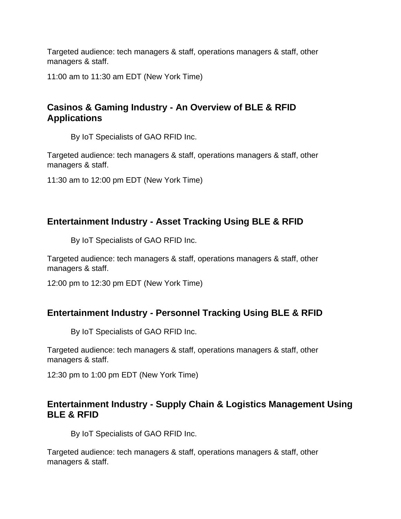11:00 am to 11:30 am EDT (New York Time)

# **Casinos & Gaming Industry - An Overview of BLE & RFID Applications**

By IoT Specialists of GAO RFID Inc.

Targeted audience: tech managers & staff, operations managers & staff, other managers & staff.

11:30 am to 12:00 pm EDT (New York Time)

#### **Entertainment Industry - Asset Tracking Using BLE & RFID**

By IoT Specialists of GAO RFID Inc.

Targeted audience: tech managers & staff, operations managers & staff, other managers & staff.

12:00 pm to 12:30 pm EDT (New York Time)

#### **Entertainment Industry - Personnel Tracking Using BLE & RFID**

By IoT Specialists of GAO RFID Inc.

Targeted audience: tech managers & staff, operations managers & staff, other managers & staff.

12:30 pm to 1:00 pm EDT (New York Time)

#### **Entertainment Industry - Supply Chain & Logistics Management Using BLE & RFID**

By IoT Specialists of GAO RFID Inc.

Targeted audience: tech managers & staff, operations managers & staff, other managers & staff.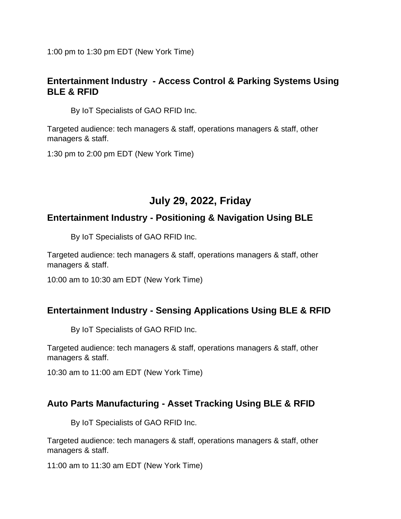1:00 pm to 1:30 pm EDT (New York Time)

#### **Entertainment Industry - Access Control & Parking Systems Using BLE & RFID**

By IoT Specialists of GAO RFID Inc.

Targeted audience: tech managers & staff, operations managers & staff, other managers & staff.

1:30 pm to 2:00 pm EDT (New York Time)

# **July 29, 2022, Friday**

# **Entertainment Industry - Positioning & Navigation Using BLE**

By IoT Specialists of GAO RFID Inc.

Targeted audience: tech managers & staff, operations managers & staff, other managers & staff.

10:00 am to 10:30 am EDT (New York Time)

#### **Entertainment Industry - Sensing Applications Using BLE & RFID**

By IoT Specialists of GAO RFID Inc.

Targeted audience: tech managers & staff, operations managers & staff, other managers & staff.

10:30 am to 11:00 am EDT (New York Time)

# **Auto Parts Manufacturing - Asset Tracking Using BLE & RFID**

By IoT Specialists of GAO RFID Inc.

Targeted audience: tech managers & staff, operations managers & staff, other managers & staff.

11:00 am to 11:30 am EDT (New York Time)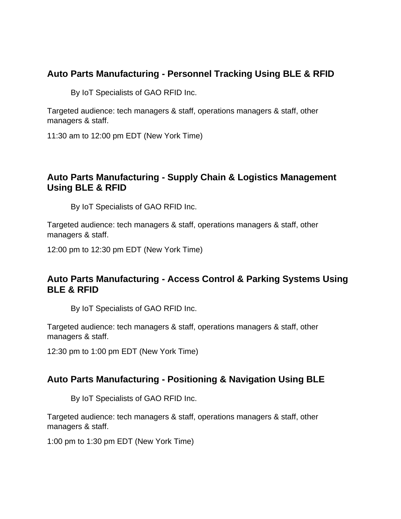# **Auto Parts Manufacturing - Personnel Tracking Using BLE & RFID**

By IoT Specialists of GAO RFID Inc.

Targeted audience: tech managers & staff, operations managers & staff, other managers & staff.

11:30 am to 12:00 pm EDT (New York Time)

#### **Auto Parts Manufacturing - Supply Chain & Logistics Management Using BLE & RFID**

By IoT Specialists of GAO RFID Inc.

Targeted audience: tech managers & staff, operations managers & staff, other managers & staff.

12:00 pm to 12:30 pm EDT (New York Time)

#### **Auto Parts Manufacturing - Access Control & Parking Systems Using BLE & RFID**

By IoT Specialists of GAO RFID Inc.

Targeted audience: tech managers & staff, operations managers & staff, other managers & staff.

12:30 pm to 1:00 pm EDT (New York Time)

#### **Auto Parts Manufacturing - Positioning & Navigation Using BLE**

By IoT Specialists of GAO RFID Inc.

Targeted audience: tech managers & staff, operations managers & staff, other managers & staff.

1:00 pm to 1:30 pm EDT (New York Time)